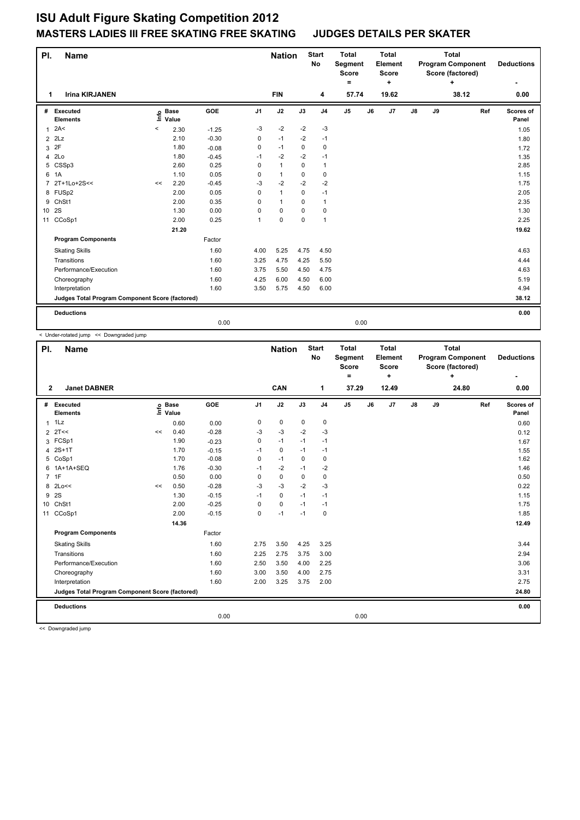## **ISU Adult Figure Skating Competition 2012 MASTERS LADIES III FREE SKATING FREE SKATING JUDGES DETAILS PER SKATER**

| PI.<br><b>Name</b>                              |                             |         |                      |            |                | <b>Nation</b> |             | <b>Start</b><br>No | <b>Total</b><br>Segment<br><b>Score</b> |    | <b>Total</b><br>Element<br><b>Score</b> |    |       | <b>Total</b><br><b>Program Component</b><br>Score (factored) |     | <b>Deductions</b>  |
|-------------------------------------------------|-----------------------------|---------|----------------------|------------|----------------|---------------|-------------|--------------------|-----------------------------------------|----|-----------------------------------------|----|-------|--------------------------------------------------------------|-----|--------------------|
| 1                                               | <b>Irina KIRJANEN</b>       |         |                      |            |                | <b>FIN</b>    |             | 4                  | $\equiv$<br>57.74                       |    | ٠<br>19.62                              |    |       | ÷<br>38.12                                                   |     | 0.00               |
| #                                               | Executed<br><b>Elements</b> | ١nte    | <b>Base</b><br>Value | <b>GOE</b> | J <sub>1</sub> | J2            | J3          | J <sub>4</sub>     | J <sub>5</sub>                          | J6 | J7                                      | J8 | J9    |                                                              | Ref | Scores of<br>Panel |
| 1                                               | 2A<                         | $\,<\,$ | 2.30                 | $-1.25$    | -3             | $-2$          | $-2$        | $-3$               |                                         |    |                                         |    |       |                                                              |     | 1.05               |
| 2                                               | 2Lz                         |         | 2.10                 | $-0.30$    | 0              | $-1$          | $-2$        | $-1$               |                                         |    |                                         |    |       |                                                              |     | 1.80               |
| 3                                               | 2F                          |         | 1.80                 | $-0.08$    | 0              | $-1$          | $\mathbf 0$ | $\mathbf 0$        |                                         |    |                                         |    |       |                                                              |     | 1.72               |
| 4                                               | 2Lo                         |         | 1.80                 | $-0.45$    | $-1$           | $-2$          | $-2$        | $-1$               |                                         |    |                                         |    |       |                                                              |     | 1.35               |
| 5                                               | CSSp3                       |         | 2.60                 | 0.25       | 0              | $\mathbf{1}$  | $\Omega$    | $\mathbf{1}$       |                                         |    |                                         |    |       |                                                              |     | 2.85               |
| 6                                               | 1A                          |         | 1.10                 | 0.05       | 0              | $\mathbf{1}$  | $\Omega$    | $\mathbf 0$        |                                         |    |                                         |    |       |                                                              |     | 1.15               |
| $\overline{7}$                                  | 2T+1Lo+2S<<                 | <<      | 2.20                 | $-0.45$    | $-3$           | $-2$          | $-2$        | $-2$               |                                         |    |                                         |    |       |                                                              |     | 1.75               |
|                                                 | 8 FUSp2                     |         | 2.00                 | 0.05       | 0              | $\mathbf{1}$  | 0           | $-1$               |                                         |    |                                         |    |       |                                                              |     | 2.05               |
| 9                                               | ChSt1                       |         | 2.00                 | 0.35       | 0              | $\mathbf{1}$  | 0           | $\mathbf{1}$       |                                         |    |                                         |    |       |                                                              |     | 2.35               |
| 10                                              | 2S                          |         | 1.30                 | 0.00       | $\Omega$       | 0             | 0           | 0                  |                                         |    |                                         |    |       |                                                              |     | 1.30               |
| 11                                              | CCoSp1                      |         | 2.00                 | 0.25       | 1              | $\pmb{0}$     | $\mathbf 0$ | $\mathbf{1}$       |                                         |    |                                         |    |       |                                                              |     | 2.25               |
|                                                 |                             |         | 21.20                |            |                |               |             |                    |                                         |    |                                         |    |       |                                                              |     | 19.62              |
|                                                 | <b>Program Components</b>   |         |                      | Factor     |                |               |             |                    |                                         |    |                                         |    |       |                                                              |     |                    |
|                                                 | <b>Skating Skills</b>       |         |                      | 1.60       | 4.00           | 5.25          | 4.75        | 4.50               |                                         |    |                                         |    |       |                                                              |     | 4.63               |
|                                                 | Transitions                 |         |                      | 1.60       | 3.25           | 4.75          | 4.25        | 5.50               |                                         |    |                                         |    |       |                                                              |     | 4.44               |
|                                                 | Performance/Execution       |         |                      | 1.60       | 3.75           | 5.50          | 4.50        | 4.75               |                                         |    |                                         |    |       |                                                              |     | 4.63               |
|                                                 | Choreography                |         |                      | 1.60       | 4.25           | 6.00          | 4.50        | 6.00               |                                         |    |                                         |    |       |                                                              |     | 5.19               |
|                                                 | Interpretation              |         |                      | 1.60       | 3.50           | 5.75          | 4.50        | 6.00               |                                         |    |                                         |    |       |                                                              |     | 4.94               |
| Judges Total Program Component Score (factored) |                             |         |                      |            |                |               |             |                    |                                         |    |                                         |    | 38.12 |                                                              |     |                    |
|                                                 | <b>Deductions</b>           |         |                      |            |                |               |             |                    |                                         |    |                                         |    |       |                                                              |     | 0.00               |
|                                                 |                             |         |                      | 0.00       |                |               |             |                    | 0.00                                    |    |                                         |    |       |                                                              |     |                    |

< Under-rotated jump << Downgraded jump

| PI.          | <b>Name</b>                                     |      |                      |         |                | <b>Nation</b> |             | <b>Start</b><br>No | <b>Total</b><br>Segment<br><b>Score</b><br>Ξ. |    | <b>Total</b><br>Element<br><b>Score</b><br>÷ |               |    | <b>Total</b><br><b>Program Component</b><br>Score (factored)<br>٠ |     | <b>Deductions</b>  |
|--------------|-------------------------------------------------|------|----------------------|---------|----------------|---------------|-------------|--------------------|-----------------------------------------------|----|----------------------------------------------|---------------|----|-------------------------------------------------------------------|-----|--------------------|
| $\mathbf{2}$ | <b>Janet DABNER</b>                             |      |                      |         |                | CAN           |             | 1                  | 37.29                                         |    | 12.49                                        |               |    | 24.80                                                             |     | 0.00               |
| #            | Executed<br><b>Elements</b>                     | ١nf٥ | <b>Base</b><br>Value | GOE     | J <sub>1</sub> | J2            | J3          | J <sub>4</sub>     | J <sub>5</sub>                                | J6 | J7                                           | $\mathsf{J}8$ | J9 |                                                                   | Ref | Scores of<br>Panel |
|              | $1$ $1$ $1$                                     |      | 0.60                 | 0.00    | 0              | 0             | $\mathbf 0$ | $\mathbf 0$        |                                               |    |                                              |               |    |                                                                   |     | 0.60               |
|              | $2$ 2T <<                                       | <<   | 0.40                 | $-0.28$ | $-3$           | $-3$          | $-2$        | $-3$               |                                               |    |                                              |               |    |                                                                   |     | 0.12               |
| 3            | FCSp1                                           |      | 1.90                 | $-0.23$ | $\Omega$       | $-1$          | $-1$        | $-1$               |                                               |    |                                              |               |    |                                                                   |     | 1.67               |
| 4            | $2S+1T$                                         |      | 1.70                 | $-0.15$ | $-1$           | 0             | $-1$        | $-1$               |                                               |    |                                              |               |    |                                                                   |     | 1.55               |
| 5            | CoSp1                                           |      | 1.70                 | $-0.08$ | 0              | $-1$          | 0           | 0                  |                                               |    |                                              |               |    |                                                                   |     | 1.62               |
|              | 6 1A+1A+SEQ                                     |      | 1.76                 | $-0.30$ | $-1$           | $-2$          | $-1$        | $-2$               |                                               |    |                                              |               |    |                                                                   |     | 1.46               |
|              | 7 1F                                            |      | 0.50                 | 0.00    | 0              | 0             | 0           | 0                  |                                               |    |                                              |               |    |                                                                   |     | 0.50               |
| 8            | 2Lo<<                                           | <<   | 0.50                 | $-0.28$ | $-3$           | $-3$          | $-2$        | $-3$               |                                               |    |                                              |               |    |                                                                   |     | 0.22               |
|              | 9 2S                                            |      | 1.30                 | $-0.15$ | $-1$           | $\Omega$      | $-1$        | $-1$               |                                               |    |                                              |               |    |                                                                   |     | 1.15               |
| 10           | ChSt1                                           |      | 2.00                 | $-0.25$ | 0              | 0             | $-1$        | $-1$               |                                               |    |                                              |               |    |                                                                   |     | 1.75               |
|              | 11 CCoSp1                                       |      | 2.00                 | $-0.15$ | $\Omega$       | $-1$          | $-1$        | $\mathbf 0$        |                                               |    |                                              |               |    |                                                                   |     | 1.85               |
|              |                                                 |      |                      |         |                |               |             |                    |                                               |    |                                              | 12.49         |    |                                                                   |     |                    |
|              | <b>Program Components</b>                       |      |                      | Factor  |                |               |             |                    |                                               |    |                                              |               |    |                                                                   |     |                    |
|              | <b>Skating Skills</b>                           |      |                      | 1.60    | 2.75           | 3.50          | 4.25        | 3.25               |                                               |    |                                              |               |    |                                                                   |     | 3.44               |
|              | Transitions                                     |      |                      | 1.60    | 2.25           | 2.75          | 3.75        | 3.00               |                                               |    |                                              |               |    |                                                                   |     | 2.94               |
|              | Performance/Execution                           |      |                      | 1.60    | 2.50           | 3.50          | 4.00        | 2.25               |                                               |    |                                              |               |    |                                                                   |     | 3.06               |
|              | Choreography                                    |      |                      | 1.60    | 3.00           | 3.50          | 4.00        | 2.75               |                                               |    |                                              |               |    |                                                                   |     | 3.31               |
|              | Interpretation                                  |      |                      | 1.60    | 2.00           | 3.25          | 3.75        | 2.00               |                                               |    |                                              |               |    |                                                                   |     | 2.75               |
|              | Judges Total Program Component Score (factored) |      |                      |         |                |               |             |                    |                                               |    |                                              | 24.80         |    |                                                                   |     |                    |
|              | <b>Deductions</b>                               |      |                      |         |                |               |             |                    |                                               |    |                                              |               |    |                                                                   |     | 0.00               |
|              |                                                 |      |                      | 0.00    |                |               |             |                    | 0.00                                          |    |                                              |               |    |                                                                   |     |                    |

<< Downgraded jump